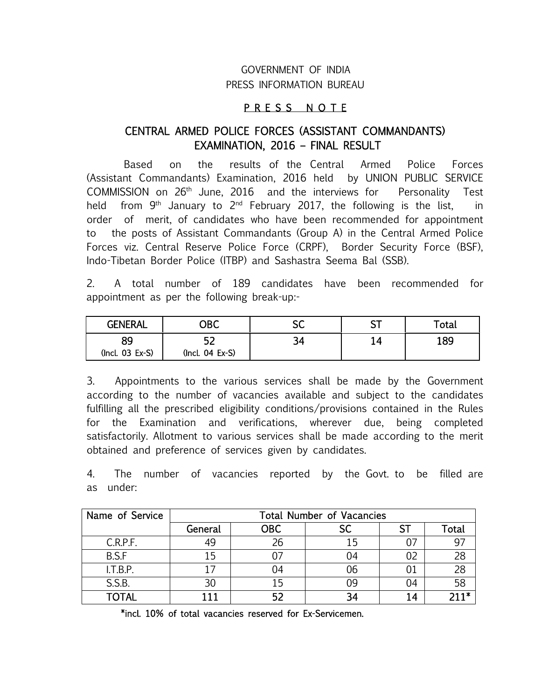# GOVERNMENT OF INDIA PRESS INFORMATION BUREAU

### P R E S S N O T E

## CENTRAL ARMED POLICE FORCES (ASSISTANT COMMANDANTS) EXAMINATION, 2016 – FINAL RESULT

 Based on the results of the Central Armed Police Forces (Assistant Commandants) Examination, 2016 held by UNION PUBLIC SERVICE COMMISSION on 26th June, 2016 and the interviews for Personality Test held from  $9<sup>th</sup>$  January to  $2<sup>nd</sup>$  February 2017, the following is the list, in order of merit, of candidates who have been recommended for appointment to the posts of Assistant Commandants (Group A) in the Central Armed Police Forces viz. Central Reserve Police Force (CRPF), Border Security Force (BSF), Indo-Tibetan Border Police (ITBP) and Sashastra Seema Bal (SSB).

2. A total number of 189 candidates have been recommended for appointment as per the following break-up:-

| <b>GENERAL</b>    | OBC               | cr<br>ЭU | ~-<br>، ب | Total |
|-------------------|-------------------|----------|-----------|-------|
| QΟ                | ∽                 | -54      |           | 189   |
| $(Incl. 03 Ex-S)$ | $(Incl. 04 Ex-S)$ |          |           |       |

3. Appointments to the various services shall be made by the Government according to the number of vacancies available and subject to the candidates fulfilling all the prescribed eligibility conditions/provisions contained in the Rules for the Examination and verifications, wherever due, being completed satisfactorily. Allotment to various services shall be made according to the merit obtained and preference of services given by candidates.

4. The number of vacancies reported by the Govt. to be filled are as under:

| Name of Service | <b>Total Number of Vacancies</b> |            |    |    |        |
|-----------------|----------------------------------|------------|----|----|--------|
|                 | General                          | <b>OBC</b> | SC |    | Total  |
| C.R.P.F.        | 49                               | 26         | 15 | 07 |        |
| B.S.F           | 15                               |            |    | 02 | 28     |
| I.T.B.P.        |                                  |            | 06 |    | 28     |
| S.S.B.          | 30                               |            |    | 04 | 58     |
| <b>TOTAL</b>    | 111                              |            |    | 14 | $711*$ |

\*incl. 10% of total vacancies reserved for Ex-Servicemen.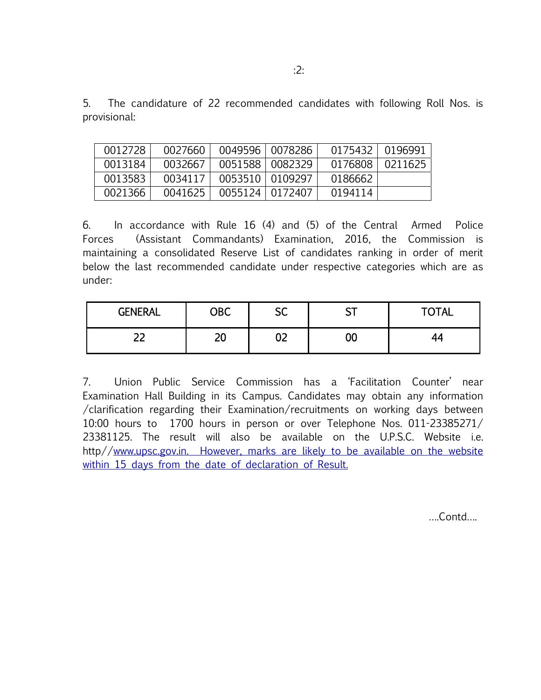5. The candidature of 22 recommended candidates with following Roll Nos. is provisional:

| 0012728 | 0027660 |                   | 0049596   0078286 | 0175432 0196991 |         |
|---------|---------|-------------------|-------------------|-----------------|---------|
| 0013184 | 0032667 |                   | 0051588   0082329 | 0176808         | 0211625 |
| 0013583 | 0034117 | 0053510   0109297 |                   | 0186662         |         |
| 0021366 | 0041625 | 0055124           | 0172407           | 0194114         |         |

6. In accordance with Rule 16 (4) and (5) of the Central Armed Police Forces (Assistant Commandants) Examination, 2016, the Commission is maintaining a consolidated Reserve List of candidates ranking in order of merit below the last recommended candidate under respective categories which are as under:

| <b>GENERAL</b> | OBC      | cr<br>ЭČ           | r <del>- 1</del><br>، ب | <b>TOTAL</b> |
|----------------|----------|--------------------|-------------------------|--------------|
| רר<br>--       | חר<br>ΔV | $\mathbf{A}$<br>UL | 00                      | --           |

7. Union Public Service Commission has a 'Facilitation Counter' near Examination Hall Building in its Campus. Candidates may obtain any information /clarification regarding their Examination/recruitments on working days between 10:00 hours to 1700 hours in person or over Telephone Nos. 011-23385271/ 23381125. The result will also be available on the U.P.S.C. Website i.e. http//www.upsc.gov.in. However, marks are likely to be available on the website within 15 days from the date of declaration of Result.

….Contd….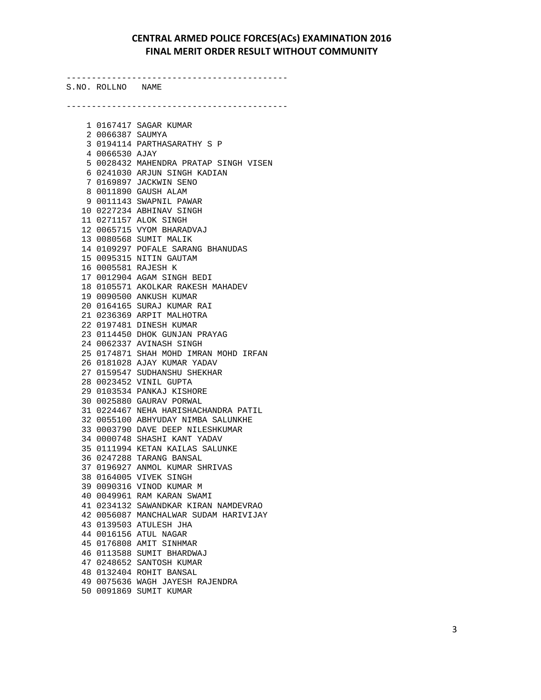-------------------------------------------- S.NO. ROLLNO NAME -------------------------------------------- 1 0167417 SAGAR KUMAR 2 0066387 SAUMYA 3 0194114 PARTHASARATHY S P 4 0066530 AJAY 5 0028432 MAHENDRA PRATAP SINGH VISEN 6 0241030 ARJUN SINGH KADIAN 7 0169897 JACKWIN SENO 8 0011890 GAUSH ALAM 9 0011143 SWAPNIL PAWAR 10 0227234 ABHINAV SINGH 11 0271157 ALOK SINGH 12 0065715 VYOM BHARADVAJ 13 0080568 SUMIT MALIK 14 0109297 POFALE SARANG BHANUDAS 15 0095315 NITIN GAUTAM 16 0005581 RAJESH K 17 0012904 AGAM SINGH BEDI 18 0105571 AKOLKAR RAKESH MAHADEV 19 0090500 ANKUSH KUMAR 20 0164165 SURAJ KUMAR RAI 21 0236369 ARPIT MALHOTRA 22 0197481 DINESH KUMAR 23 0114450 DHOK GUNJAN PRAYAG 24 0062337 AVINASH SINGH 25 0174871 SHAH MOHD IMRAN MOHD IRFAN 26 0181028 AJAY KUMAR YADAV 27 0159547 SUDHANSHU SHEKHAR 28 0023452 VINIL GUPTA 29 0103534 PANKAJ KISHORE 30 0025880 GAURAV PORWAL 31 0224467 NEHA HARISHACHANDRA PATIL 32 0055100 ABHYUDAY NIMBA SALUNKHE 33 0003790 DAVE DEEP NILESHKUMAR 34 0000748 SHASHI KANT YADAV 35 0111994 KETAN KAILAS SALUNKE 36 0247288 TARANG BANSAL 37 0196927 ANMOL KUMAR SHRIVAS 38 0164005 VIVEK SINGH 39 0090316 VINOD KUMAR M 40 0049961 RAM KARAN SWAMI 41 0234132 SAWANDKAR KIRAN NAMDEVRAO 42 0056087 MANCHALWAR SUDAM HARIVIJAY 43 0139503 ATULESH JHA 44 0016156 ATUL NAGAR 45 0176808 AMIT SINHMAR 46 0113588 SUMIT BHARDWAJ 47 0248652 SANTOSH KUMAR 48 0132404 ROHIT BANSAL 49 0075636 WAGH JAYESH RAJENDRA 50 0091869 SUMIT KUMAR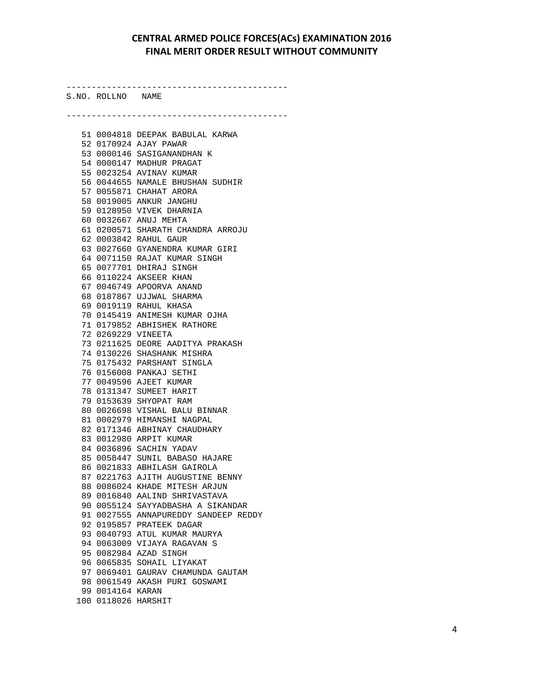S.NO. ROLLNO NAME -------------------------------------------- 51 0004818 DEEPAK BABULAL KARWA 52 0170924 AJAY PAWAR 53 0000146 SASIGANANDHAN K 54 0000147 MADHUR PRAGAT 55 0023254 AVINAV KUMAR 56 0044655 NAMALE BHUSHAN SUDHIR 57 0055871 CHAHAT ARORA 58 0019005 ANKUR JANGHU 59 0128950 VIVEK DHARNIA 60 0032667 ANUJ MEHTA 61 0200571 SHARATH CHANDRA ARROJU 62 0003842 RAHUL GAUR 63 0027660 GYANENDRA KUMAR GIRI 64 0071150 RAJAT KUMAR SINGH 65 0077701 DHIRAJ SINGH 66 0110224 AKSEER KHAN 67 0046749 APOORVA ANAND 68 0187867 UJJWAL SHARMA 69 0019119 RAHUL KHASA 70 0145419 ANIMESH KUMAR OJHA 71 0179852 ABHISHEK RATHORE 72 0269229 VINEETA 73 0211625 DEORE AADITYA PRAKASH 74 0130226 SHASHANK MISHRA 75 0175432 PARSHANT SINGLA 76 0156008 PANKAJ SETHI 77 0049596 AJEET KUMAR 78 0131347 SUMEET HARIT 79 0153639 SHYOPAT RAM 80 0026698 VISHAL BALU BINNAR 81 0002979 HIMANSHI NAGPAL 82 0171346 ABHINAY CHAUDHARY 83 0012980 ARPIT KUMAR 84 0036896 SACHIN YADAV 85 0058447 SUNIL BABASO HAJARE 86 0021833 ABHILASH GAIROLA 87 0221763 AJITH AUGUSTINE BENNY 88 0086024 KHADE MITESH ARJUN 89 0016840 AALIND SHRIVASTAVA 90 0055124 SAYYADBASHA A SIKANDAR 91 0027555 ANNAPUREDDY SANDEEP REDDY 92 0195857 PRATEEK DAGAR 93 0040793 ATUL KUMAR MAURYA 94 0063009 VIJAYA RAGAVAN S 95 0082984 AZAD SINGH 96 0065835 SOHAIL LIYAKAT 97 0069401 GAURAV CHAMUNDA GAUTAM 98 0061549 AKASH PURI GOSWAMI 99 0014164 KARAN 100 0118026 HARSHIT

--------------------------------------------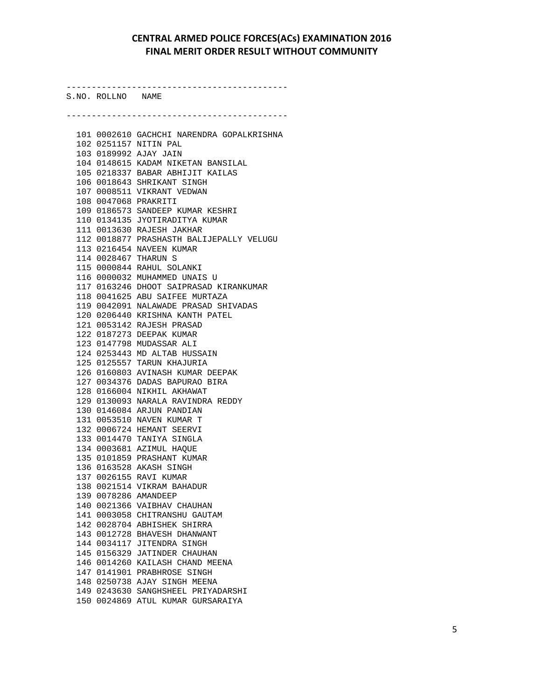S.NO. ROLLNO NAME -------------------------------------------- 101 0002610 GACHCHI NARENDRA GOPALKRISHNA 102 0251157 NITIN PAL 103 0189992 AJAY JAIN 104 0148615 KADAM NIKETAN BANSILAL 105 0218337 BABAR ABHIJIT KAILAS 106 0018643 SHRIKANT SINGH 107 0008511 VIKRANT VEDWAN 108 0047068 PRAKRITI 109 0186573 SANDEEP KUMAR KESHRI 110 0134135 JYOTIRADITYA KUMAR 111 0013630 RAJESH JAKHAR 112 0018877 PRASHASTH BALIJEPALLY VELUGU 113 0216454 NAVEEN KUMAR 114 0028467 THARUN S 115 0000844 RAHUL SOLANKI 116 0000032 MUHAMMED UNAIS U 117 0163246 DHOOT SAIPRASAD KIRANKUMAR 118 0041625 ABU SAIFEE MURTAZA 119 0042091 NALAWADE PRASAD SHIVADAS 120 0206440 KRISHNA KANTH PATEL 121 0053142 RAJESH PRASAD 122 0187273 DEEPAK KUMAR 123 0147798 MUDASSAR ALI 124 0253443 MD ALTAB HUSSAIN 125 0125557 TARUN KHAJURIA 126 0160803 AVINASH KUMAR DEEPAK 127 0034376 DADAS BAPURAO BIRA 128 0166004 NIKHIL AKHAWAT 129 0130093 NARALA RAVINDRA REDDY 130 0146084 ARJUN PANDIAN 131 0053510 NAVEN KUMAR T 132 0006724 HEMANT SEERVI 133 0014470 TANIYA SINGLA 134 0003681 AZIMUL HAQUE 135 0101859 PRASHANT KUMAR 136 0163528 AKASH SINGH 137 0026155 RAVI KUMAR 138 0021514 VIKRAM BAHADUR 139 0078286 AMANDEEP 140 0021366 VAIBHAV CHAUHAN 141 0003058 CHITRANSHU GAUTAM 142 0028704 ABHISHEK SHIRRA 143 0012728 BHAVESH DHANWANT 144 0034117 JITENDRA SINGH 145 0156329 JATINDER CHAUHAN 146 0014260 KAILASH CHAND MEENA 147 0141901 PRABHROSE SINGH 148 0250738 AJAY SINGH MEENA 149 0243630 SANGHSHEEL PRIYADARSHI 150 0024869 ATUL KUMAR GURSARAIYA

--------------------------------------------